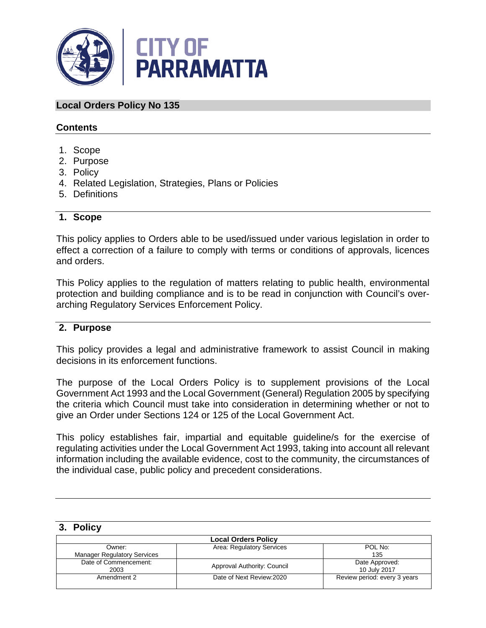

## **Local Orders Policy No 135**

## **Contents**

- 1. Scope
- 2. Purpose
- 3. Policy
- 4. Related Legislation, Strategies, Plans or Policies
- 5. Definitions

## **1. Scope**

This policy applies to Orders able to be used/issued under various legislation in order to effect a correction of a failure to comply with terms or conditions of approvals, licences and orders.

This Policy applies to the regulation of matters relating to public health, environmental protection and building compliance and is to be read in conjunction with Council's overarching Regulatory Services Enforcement Policy.

## **2. Purpose**

This policy provides a legal and administrative framework to assist Council in making decisions in its enforcement functions.

The purpose of the Local Orders Policy is to supplement provisions of the Local Government Act 1993 and the Local Government (General) Regulation 2005 by specifying the criteria which Council must take into consideration in determining whether or not to give an Order under Sections 124 or 125 of the Local Government Act.

This policy establishes fair, impartial and equitable guideline/s for the exercise of regulating activities under the Local Government Act 1993, taking into account all relevant information including the available evidence, cost to the community, the circumstances of the individual case, public policy and precedent considerations.

#### **3. Policy**

| <b>Local Orders Policy</b>         |                             |                              |  |
|------------------------------------|-----------------------------|------------------------------|--|
| Owner:                             | Area: Regulatory Services   | POL No:                      |  |
| <b>Manager Regulatory Services</b> |                             | 135                          |  |
| Date of Commencement:              | Approval Authority: Council | Date Approved:               |  |
| 2003                               |                             | 10 July 2017                 |  |
| Amendment 2                        | Date of Next Review: 2020   | Review period: every 3 years |  |
|                                    |                             |                              |  |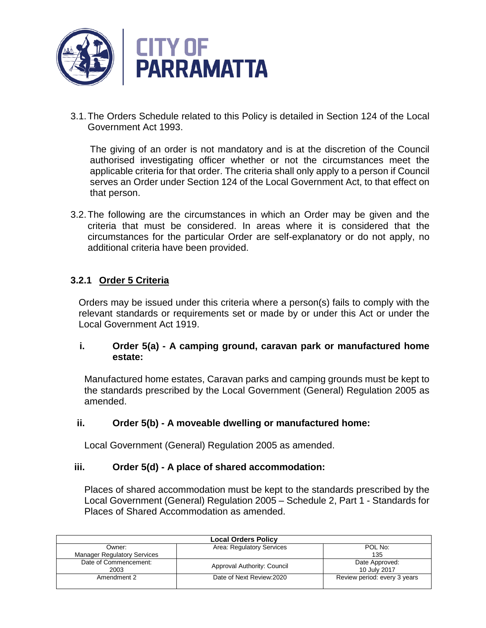

3.1.The Orders Schedule related to this Policy is detailed in Section 124 of the Local Government Act 1993.

The giving of an order is not mandatory and is at the discretion of the Council authorised investigating officer whether or not the circumstances meet the applicable criteria for that order. The criteria shall only apply to a person if Council serves an Order under Section 124 of the Local Government Act, to that effect on that person.

3.2.The following are the circumstances in which an Order may be given and the criteria that must be considered. In areas where it is considered that the circumstances for the particular Order are self-explanatory or do not apply, no additional criteria have been provided.

## **3.2.1 Order 5 Criteria**

Orders may be issued under this criteria where a person(s) fails to comply with the relevant standards or requirements set or made by or under this Act or under the Local Government Act 1919.

## **i. Order 5(a) - A camping ground, caravan park or manufactured home estate:**

Manufactured home estates, Caravan parks and camping grounds must be kept to the standards prescribed by the Local Government (General) Regulation 2005 as amended.

## **ii. Order 5(b) - A moveable dwelling or manufactured home:**

Local Government (General) Regulation 2005 as amended.

## **iii. Order 5(d) - A place of shared accommodation:**

Places of shared accommodation must be kept to the standards prescribed by the Local Government (General) Regulation 2005 – Schedule 2, Part 1 - Standards for Places of Shared Accommodation as amended.

| <b>Local Orders Policy</b>         |                             |                              |
|------------------------------------|-----------------------------|------------------------------|
| Owner:                             | Area: Regulatory Services   | POL No:                      |
| <b>Manager Regulatory Services</b> |                             | 135                          |
| Date of Commencement:              | Approval Authority: Council | Date Approved:               |
| 2003                               |                             | 10 July 2017                 |
| Amendment 2                        | Date of Next Review: 2020   | Review period: every 3 years |
|                                    |                             |                              |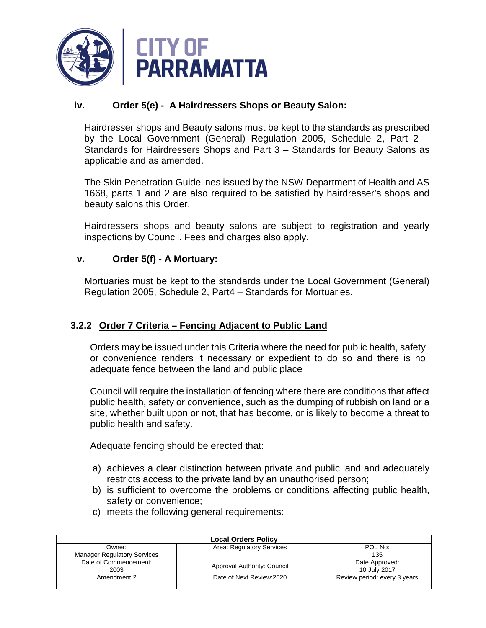

## **iv. Order 5(e) - A Hairdressers Shops or Beauty Salon:**

Hairdresser shops and Beauty salons must be kept to the standards as prescribed by the Local Government (General) Regulation 2005, Schedule 2, Part 2 – Standards for Hairdressers Shops and Part 3 – Standards for Beauty Salons as applicable and as amended.

The Skin Penetration Guidelines issued by the NSW Department of Health and AS 1668, parts 1 and 2 are also required to be satisfied by hairdresser's shops and beauty salons this Order.

Hairdressers shops and beauty salons are subject to registration and yearly inspections by Council. Fees and charges also apply.

## **v. Order 5(f) - A Mortuary:**

Mortuaries must be kept to the standards under the Local Government (General) Regulation 2005, Schedule 2, Part4 – Standards for Mortuaries.

## **3.2.2 Order 7 Criteria – Fencing Adjacent to Public Land**

Orders may be issued under this Criteria where the need for public health, safety or convenience renders it necessary or expedient to do so and there is no adequate fence between the land and public place

Council will require the installation of fencing where there are conditions that affect public health, safety or convenience, such as the dumping of rubbish on land or a site, whether built upon or not, that has become, or is likely to become a threat to public health and safety.

Adequate fencing should be erected that:

- a) achieves a clear distinction between private and public land and adequately restricts access to the private land by an unauthorised person;
- b) is sufficient to overcome the problems or conditions affecting public health, safety or convenience;
- c) meets the following general requirements:

| <b>Local Orders Policy</b>         |                             |                              |
|------------------------------------|-----------------------------|------------------------------|
| Owner:                             | Area: Regulatory Services   | POL No:                      |
| <b>Manager Regulatory Services</b> |                             | 135                          |
| Date of Commencement:              | Approval Authority: Council | Date Approved:               |
| 2003                               |                             | 10 July 2017                 |
| Amendment 2                        | Date of Next Review: 2020   | Review period: every 3 years |
|                                    |                             |                              |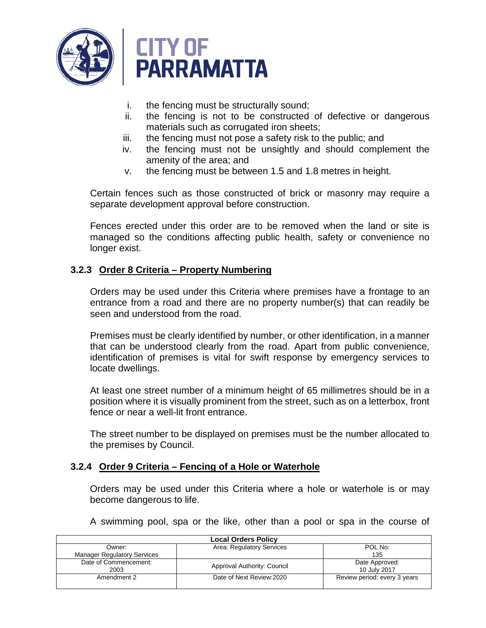

- i. the fencing must be structurally sound;
- ii. the fencing is not to be constructed of defective or dangerous materials such as corrugated iron sheets;
- iii. the fencing must not pose a safety risk to the public; and
- iv. the fencing must not be unsightly and should complement the amenity of the area; and
- v. the fencing must be between 1.5 and 1.8 metres in height.

Certain fences such as those constructed of brick or masonry may require a separate development approval before construction.

Fences erected under this order are to be removed when the land or site is managed so the conditions affecting public health, safety or convenience no longer exist.

## **3.2.3 Order 8 Criteria – Property Numbering**

Orders may be used under this Criteria where premises have a frontage to an entrance from a road and there are no property number(s) that can readily be seen and understood from the road.

Premises must be clearly identified by number, or other identification, in a manner that can be understood clearly from the road. Apart from public convenience, identification of premises is vital for swift response by emergency services to locate dwellings.

At least one street number of a minimum height of 65 millimetres should be in a position where it is visually prominent from the street, such as on a letterbox, front fence or near a well-lit front entrance.

The street number to be displayed on premises must be the number allocated to the premises by Council.

## **3.2.4 Order 9 Criteria – Fencing of a Hole or Waterhole**

Orders may be used under this Criteria where a hole or waterhole is or may become dangerous to life.

A swimming pool, spa or the like, other than a pool or spa in the course of

| <b>Local Orders Policy</b>         |                             |                              |
|------------------------------------|-----------------------------|------------------------------|
| Owner:                             | Area: Regulatory Services   | POL No:                      |
| <b>Manager Regulatory Services</b> |                             | 135                          |
| Date of Commencement:              |                             | Date Approved:               |
| 2003                               | Approval Authority: Council | 10 July 2017                 |
| Amendment 2                        | Date of Next Review: 2020   | Review period: every 3 years |
|                                    |                             |                              |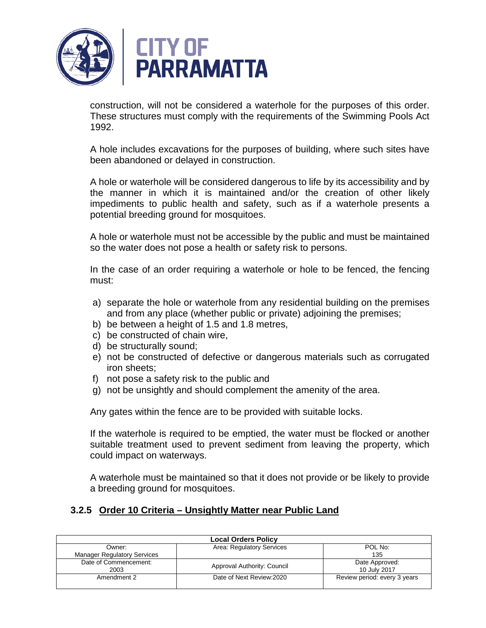

construction, will not be considered a waterhole for the purposes of this order. These structures must comply with the requirements of the Swimming Pools Act 1992.

A hole includes excavations for the purposes of building, where such sites have been abandoned or delayed in construction.

A hole or waterhole will be considered dangerous to life by its accessibility and by the manner in which it is maintained and/or the creation of other likely impediments to public health and safety, such as if a waterhole presents a potential breeding ground for mosquitoes.

A hole or waterhole must not be accessible by the public and must be maintained so the water does not pose a health or safety risk to persons.

In the case of an order requiring a waterhole or hole to be fenced, the fencing must:

- a) separate the hole or waterhole from any residential building on the premises and from any place (whether public or private) adjoining the premises;
- b) be between a height of 1.5 and 1.8 metres,
- c) be constructed of chain wire,
- d) be structurally sound;
- e) not be constructed of defective or dangerous materials such as corrugated iron sheets;
- f) not pose a safety risk to the public and
- g) not be unsightly and should complement the amenity of the area.

Any gates within the fence are to be provided with suitable locks.

If the waterhole is required to be emptied, the water must be flocked or another suitable treatment used to prevent sediment from leaving the property, which could impact on waterways.

A waterhole must be maintained so that it does not provide or be likely to provide a breeding ground for mosquitoes.

## **3.2.5 Order 10 Criteria – Unsightly Matter near Public Land**

| <b>Local Orders Policy</b>         |                             |                              |  |
|------------------------------------|-----------------------------|------------------------------|--|
| Owner:                             | Area: Regulatory Services   | POL No:                      |  |
| <b>Manager Regulatory Services</b> |                             | 135                          |  |
| Date of Commencement:              | Approval Authority: Council | Date Approved:               |  |
| 2003                               |                             | 10 July 2017                 |  |
| Amendment 2                        | Date of Next Review: 2020   | Review period: every 3 years |  |
|                                    |                             |                              |  |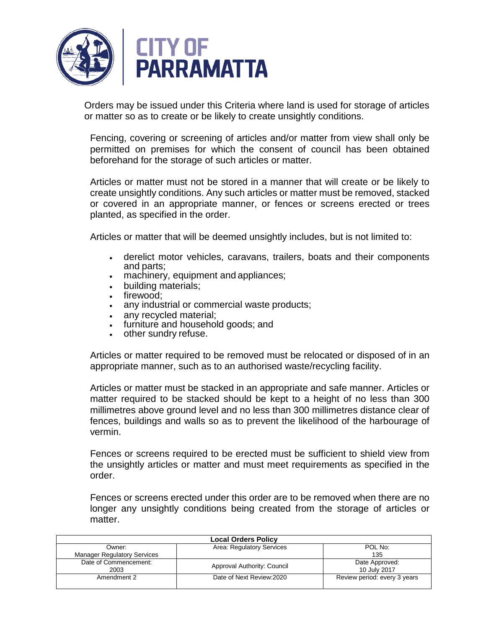

Orders may be issued under this Criteria where land is used for storage of articles or matter so as to create or be likely to create unsightly conditions.

Fencing, covering or screening of articles and/or matter from view shall only be permitted on premises for which the consent of council has been obtained beforehand for the storage of such articles or matter.

Articles or matter must not be stored in a manner that will create or be likely to create unsightly conditions. Any such articles or matter must be removed, stacked or covered in an appropriate manner, or fences or screens erected or trees planted, as specified in the order.

Articles or matter that will be deemed unsightly includes, but is not limited to:

- derelict motor vehicles, caravans, trailers, boats and their components and parts;
- machinery, equipment and appliances;
- building materials;
- firewood:
- any industrial or commercial waste products;
- any recycled material:
- furniture and household goods; and
- other sundry refuse.

Articles or matter required to be removed must be relocated or disposed of in an appropriate manner, such as to an authorised waste/recycling facility.

Articles or matter must be stacked in an appropriate and safe manner. Articles or matter required to be stacked should be kept to a height of no less than 300 millimetres above ground level and no less than 300 millimetres distance clear of fences, buildings and walls so as to prevent the likelihood of the harbourage of vermin.

Fences or screens required to be erected must be sufficient to shield view from the unsightly articles or matter and must meet requirements as specified in the order.

Fences or screens erected under this order are to be removed when there are no longer any unsightly conditions being created from the storage of articles or matter.

| <b>Local Orders Policy</b>         |                             |                              |
|------------------------------------|-----------------------------|------------------------------|
| Owner:                             | Area: Regulatory Services   | POL No:                      |
| <b>Manager Regulatory Services</b> |                             | 135                          |
| Date of Commencement:              | Approval Authority: Council | Date Approved:               |
| 2003                               |                             | 10 July 2017                 |
| Amendment 2                        | Date of Next Review: 2020   | Review period: every 3 years |
|                                    |                             |                              |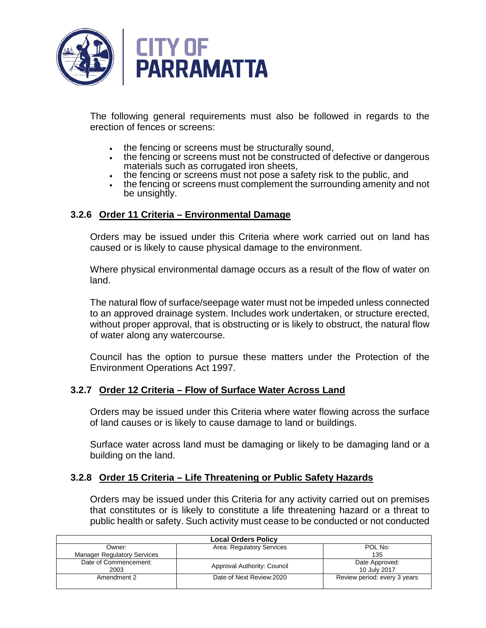

The following general requirements must also be followed in regards to the erection of fences or screens:

- the fencing or screens must be structurally sound,
- the fencing or screens must not be constructed of defective or dangerous materials such as corrugated iron sheets,
- the fencing or screens must not pose a safety risk to the public, and
- the fencing or screens must complement the surrounding amenity and not be unsightly.

## **3.2.6 Order 11 Criteria – Environmental Damage**

Orders may be issued under this Criteria where work carried out on land has caused or is likely to cause physical damage to the environment.

Where physical environmental damage occurs as a result of the flow of water on land.

The natural flow of surface/seepage water must not be impeded unless connected to an approved drainage system. Includes work undertaken, or structure erected, without proper approval, that is obstructing or is likely to obstruct, the natural flow of water along any watercourse.

Council has the option to pursue these matters under the Protection of the Environment Operations Act 1997.

## **3.2.7 Order 12 Criteria – Flow of Surface Water Across Land**

Orders may be issued under this Criteria where water flowing across the surface of land causes or is likely to cause damage to land or buildings.

Surface water across land must be damaging or likely to be damaging land or a building on the land.

#### **3.2.8 Order 15 Criteria – Life Threatening or Public Safety Hazards**

Orders may be issued under this Criteria for any activity carried out on premises that constitutes or is likely to constitute a life threatening hazard or a threat to public health or safety. Such activity must cease to be conducted or not conducted

| <b>Local Orders Policy</b>         |                             |                              |
|------------------------------------|-----------------------------|------------------------------|
| Owner:                             | Area: Regulatory Services   | POL No:                      |
| <b>Manager Regulatory Services</b> |                             | 135                          |
| Date of Commencement:              | Approval Authority: Council | Date Approved:               |
| 2003                               |                             | 10 July 2017                 |
| Amendment 2                        | Date of Next Review: 2020   | Review period: every 3 years |
|                                    |                             |                              |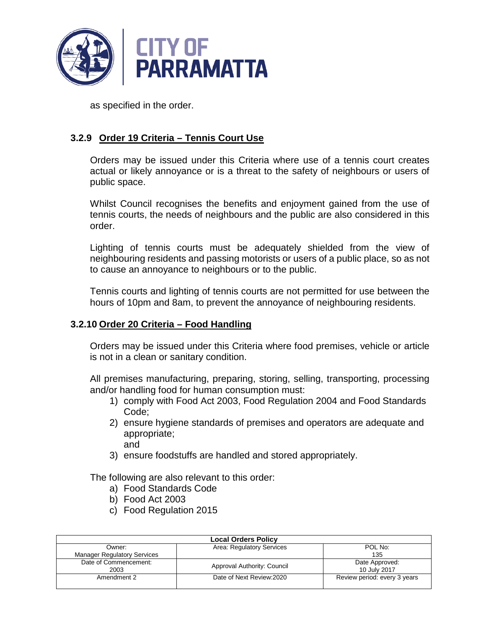

as specified in the order.

## **3.2.9 Order 19 Criteria – Tennis Court Use**

Orders may be issued under this Criteria where use of a tennis court creates actual or likely annoyance or is a threat to the safety of neighbours or users of public space.

Whilst Council recognises the benefits and enjoyment gained from the use of tennis courts, the needs of neighbours and the public are also considered in this order.

Lighting of tennis courts must be adequately shielded from the view of neighbouring residents and passing motorists or users of a public place, so as not to cause an annoyance to neighbours or to the public.

Tennis courts and lighting of tennis courts are not permitted for use between the hours of 10pm and 8am, to prevent the annoyance of neighbouring residents.

## **3.2.10 Order 20 Criteria – Food Handling**

Orders may be issued under this Criteria where food premises, vehicle or article is not in a clean or sanitary condition.

All premises manufacturing, preparing, storing, selling, transporting, processing and/or handling food for human consumption must:

- 1) comply with Food Act 2003, Food Regulation 2004 and Food Standards Code;
- 2) ensure hygiene standards of premises and operators are adequate and appropriate; and
- 3) ensure foodstuffs are handled and stored appropriately.

The following are also relevant to this order:

- a) Food Standards Code
- b) Food Act 2003
- c) Food Regulation 2015

| <b>Local Orders Policy</b>         |                             |                              |
|------------------------------------|-----------------------------|------------------------------|
| Owner:                             | Area: Regulatory Services   | POL No:                      |
| <b>Manager Regulatory Services</b> |                             | 135                          |
| Date of Commencement:              | Approval Authority: Council | Date Approved:               |
| 2003                               |                             | 10 July 2017                 |
| Amendment 2                        | Date of Next Review: 2020   | Review period: every 3 years |
|                                    |                             |                              |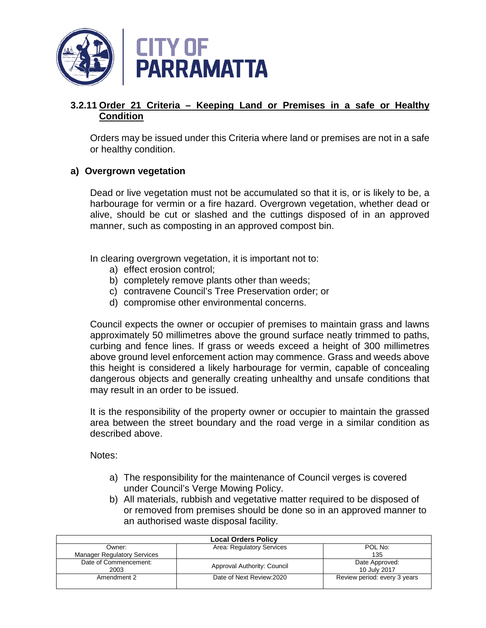

## **3.2.11 Order 21 Criteria – Keeping Land or Premises in a safe or Healthy Condition**

Orders may be issued under this Criteria where land or premises are not in a safe or healthy condition.

## **a) Overgrown vegetation**

Dead or live vegetation must not be accumulated so that it is, or is likely to be, a harbourage for vermin or a fire hazard. Overgrown vegetation, whether dead or alive, should be cut or slashed and the cuttings disposed of in an approved manner, such as composting in an approved compost bin.

In clearing overgrown vegetation, it is important not to:

- a) effect erosion control;
- b) completely remove plants other than weeds;
- c) contravene Council's Tree Preservation order; or
- d) compromise other environmental concerns.

Council expects the owner or occupier of premises to maintain grass and lawns approximately 50 millimetres above the ground surface neatly trimmed to paths, curbing and fence lines. If grass or weeds exceed a height of 300 millimetres above ground level enforcement action may commence. Grass and weeds above this height is considered a likely harbourage for vermin, capable of concealing dangerous objects and generally creating unhealthy and unsafe conditions that may result in an order to be issued.

It is the responsibility of the property owner or occupier to maintain the grassed area between the street boundary and the road verge in a similar condition as described above.

Notes:

- a) The responsibility for the maintenance of Council verges is covered under Council's Verge Mowing Policy.
- b) All materials, rubbish and vegetative matter required to be disposed of or removed from premises should be done so in an approved manner to an authorised waste disposal facility.

| <b>Local Orders Policy</b>         |                             |                              |
|------------------------------------|-----------------------------|------------------------------|
| Owner:                             | Area: Regulatory Services   | POL No:                      |
| <b>Manager Regulatory Services</b> |                             | 135                          |
| Date of Commencement:              | Approval Authority: Council | Date Approved:               |
| 2003                               |                             | 10 July 2017                 |
| Amendment 2                        | Date of Next Review: 2020   | Review period: every 3 years |
|                                    |                             |                              |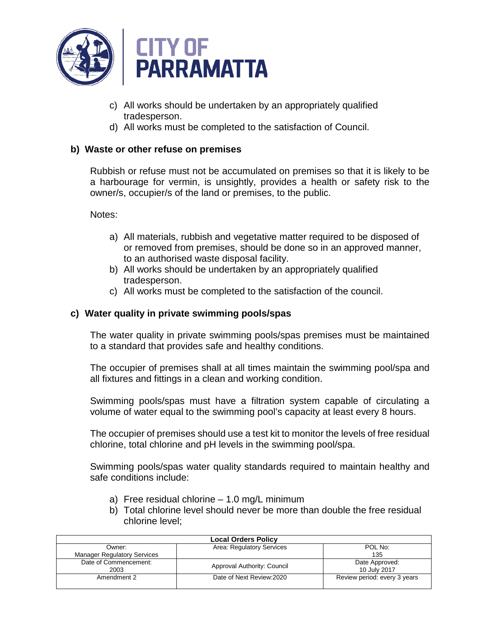

- c) All works should be undertaken by an appropriately qualified tradesperson.
- d) All works must be completed to the satisfaction of Council.

## **b) Waste or other refuse on premises**

Rubbish or refuse must not be accumulated on premises so that it is likely to be a harbourage for vermin, is unsightly, provides a health or safety risk to the owner/s, occupier/s of the land or premises, to the public.

Notes:

- a) All materials, rubbish and vegetative matter required to be disposed of or removed from premises, should be done so in an approved manner, to an authorised waste disposal facility.
- b) All works should be undertaken by an appropriately qualified tradesperson.
- c) All works must be completed to the satisfaction of the council.

## **c) Water quality in private swimming pools/spas**

The water quality in private swimming pools/spas premises must be maintained to a standard that provides safe and healthy conditions.

The occupier of premises shall at all times maintain the swimming pool/spa and all fixtures and fittings in a clean and working condition.

Swimming pools/spas must have a filtration system capable of circulating a volume of water equal to the swimming pool's capacity at least every 8 hours.

The occupier of premises should use a test kit to monitor the levels of free residual chlorine, total chlorine and pH levels in the swimming pool/spa.

Swimming pools/spas water quality standards required to maintain healthy and safe conditions include:

- a) Free residual chlorine 1.0 mg/L minimum
- b) Total chlorine level should never be more than double the free residual chlorine level;

| <b>Local Orders Policy</b>         |                             |                              |  |
|------------------------------------|-----------------------------|------------------------------|--|
| Owner:                             | Area: Regulatory Services   | POL No:                      |  |
| <b>Manager Regulatory Services</b> |                             | 135                          |  |
| Date of Commencement:              | Approval Authority: Council | Date Approved:               |  |
| 2003                               |                             | 10 July 2017                 |  |
| Amendment 2                        | Date of Next Review: 2020   | Review period: every 3 years |  |
|                                    |                             |                              |  |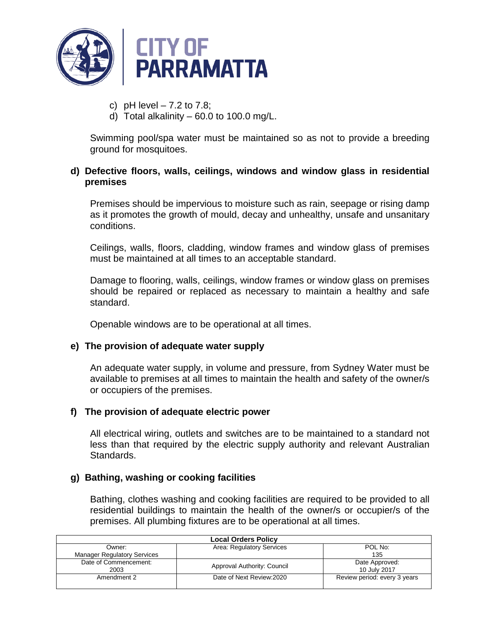

- c) pH level  $-7.2$  to  $7.8$ ;
- d) Total alkalinity  $-60.0$  to 100.0 mg/L.

Swimming pool/spa water must be maintained so as not to provide a breeding ground for mosquitoes.

## **d) Defective floors, walls, ceilings, windows and window glass in residential premises**

Premises should be impervious to moisture such as rain, seepage or rising damp as it promotes the growth of mould, decay and unhealthy, unsafe and unsanitary conditions.

Ceilings, walls, floors, cladding, window frames and window glass of premises must be maintained at all times to an acceptable standard.

Damage to flooring, walls, ceilings, window frames or window glass on premises should be repaired or replaced as necessary to maintain a healthy and safe standard.

Openable windows are to be operational at all times.

## **e) The provision of adequate water supply**

An adequate water supply, in volume and pressure, from Sydney Water must be available to premises at all times to maintain the health and safety of the owner/s or occupiers of the premises.

## **f) The provision of adequate electric power**

All electrical wiring, outlets and switches are to be maintained to a standard not less than that required by the electric supply authority and relevant Australian Standards.

## **g) Bathing, washing or cooking facilities**

Bathing, clothes washing and cooking facilities are required to be provided to all residential buildings to maintain the health of the owner/s or occupier/s of the premises. All plumbing fixtures are to be operational at all times.

| <b>Local Orders Policy</b>         |                             |                              |
|------------------------------------|-----------------------------|------------------------------|
| Owner:                             | Area: Regulatory Services   | POL No:                      |
| <b>Manager Regulatory Services</b> |                             | 135                          |
| Date of Commencement:              |                             | Date Approved:               |
| 2003                               | Approval Authority: Council | 10 July 2017                 |
| Amendment 2                        | Date of Next Review: 2020   | Review period: every 3 years |
|                                    |                             |                              |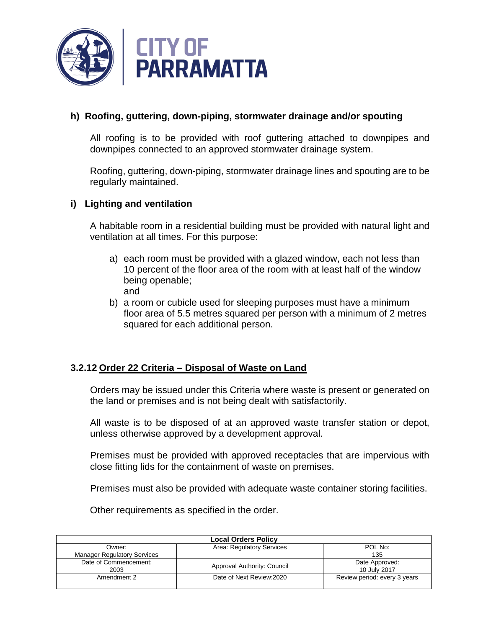

## **h) Roofing, guttering, down-piping, stormwater drainage and/or spouting**

All roofing is to be provided with roof guttering attached to downpipes and downpipes connected to an approved stormwater drainage system.

Roofing, guttering, down-piping, stormwater drainage lines and spouting are to be regularly maintained.

#### **i) Lighting and ventilation**

A habitable room in a residential building must be provided with natural light and ventilation at all times. For this purpose:

- a) each room must be provided with a glazed window, each not less than 10 percent of the floor area of the room with at least half of the window being openable; and
- b) a room or cubicle used for sleeping purposes must have a minimum floor area of 5.5 metres squared per person with a minimum of 2 metres squared for each additional person.

## **3.2.12 Order 22 Criteria – Disposal of Waste on Land**

Orders may be issued under this Criteria where waste is present or generated on the land or premises and is not being dealt with satisfactorily.

All waste is to be disposed of at an approved waste transfer station or depot, unless otherwise approved by a development approval.

Premises must be provided with approved receptacles that are impervious with close fitting lids for the containment of waste on premises.

Premises must also be provided with adequate waste container storing facilities.

Other requirements as specified in the order.

| <b>Local Orders Policy</b>         |                             |                              |
|------------------------------------|-----------------------------|------------------------------|
| Owner:                             | Area: Regulatory Services   | POL No:                      |
| <b>Manager Regulatory Services</b> |                             | 135                          |
| Date of Commencement:              | Approval Authority: Council | Date Approved:               |
| 2003                               |                             | 10 July 2017                 |
| Amendment 2                        | Date of Next Review: 2020   | Review period: every 3 years |
|                                    |                             |                              |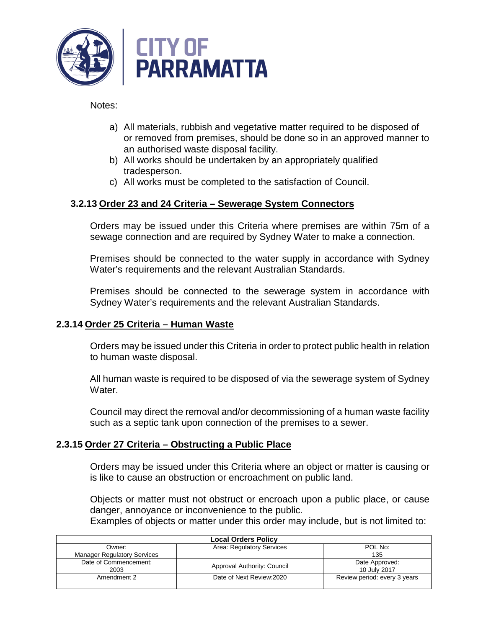

Notes:

- a) All materials, rubbish and vegetative matter required to be disposed of or removed from premises, should be done so in an approved manner to an authorised waste disposal facility.
- b) All works should be undertaken by an appropriately qualified tradesperson.
- c) All works must be completed to the satisfaction of Council.

## **3.2.13 Order 23 and 24 Criteria – Sewerage System Connectors**

Orders may be issued under this Criteria where premises are within 75m of a sewage connection and are required by Sydney Water to make a connection.

Premises should be connected to the water supply in accordance with Sydney Water's requirements and the relevant Australian Standards.

Premises should be connected to the sewerage system in accordance with Sydney Water's requirements and the relevant Australian Standards.

## **2.3.14 Order 25 Criteria – Human Waste**

Orders may be issued under this Criteria in order to protect public health in relation to human waste disposal.

All human waste is required to be disposed of via the sewerage system of Sydney Water.

Council may direct the removal and/or decommissioning of a human waste facility such as a septic tank upon connection of the premises to a sewer.

## **2.3.15 Order 27 Criteria – Obstructing a Public Place**

Orders may be issued under this Criteria where an object or matter is causing or is like to cause an obstruction or encroachment on public land.

Objects or matter must not obstruct or encroach upon a public place, or cause danger, annoyance or inconvenience to the public.

Examples of objects or matter under this order may include, but is not limited to:

| <b>Local Orders Policy</b>         |                             |                              |
|------------------------------------|-----------------------------|------------------------------|
| Owner:                             | Area: Regulatory Services   | POL No:                      |
| <b>Manager Regulatory Services</b> |                             | 135                          |
| Date of Commencement:              | Approval Authority: Council | Date Approved:               |
| 2003                               |                             | 10 July 2017                 |
| Amendment 2                        | Date of Next Review: 2020   | Review period: every 3 years |
|                                    |                             |                              |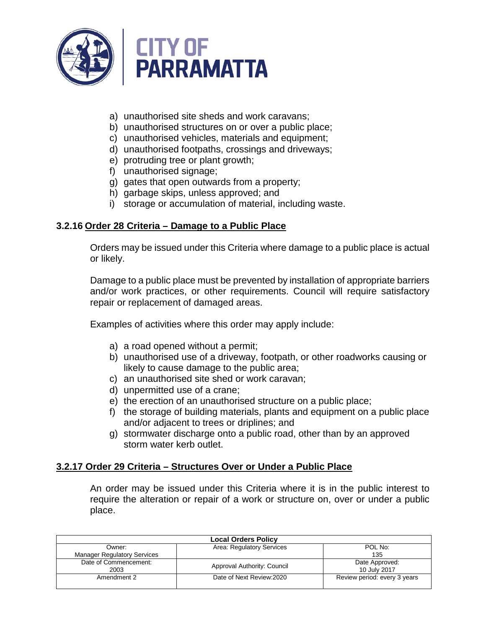

- a) unauthorised site sheds and work caravans;
- b) unauthorised structures on or over a public place;
- c) unauthorised vehicles, materials and equipment;
- d) unauthorised footpaths, crossings and driveways;
- e) protruding tree or plant growth;
- f) unauthorised signage;
- g) gates that open outwards from a property;
- h) garbage skips, unless approved; and
- i) storage or accumulation of material, including waste.

## **3.2.16 Order 28 Criteria – Damage to a Public Place**

Orders may be issued under this Criteria where damage to a public place is actual or likely.

Damage to a public place must be prevented by installation of appropriate barriers and/or work practices, or other requirements. Council will require satisfactory repair or replacement of damaged areas.

Examples of activities where this order may apply include:

- a) a road opened without a permit;
- b) unauthorised use of a driveway, footpath, or other roadworks causing or likely to cause damage to the public area;
- c) an unauthorised site shed or work caravan;
- d) unpermitted use of a crane;
- e) the erection of an unauthorised structure on a public place;
- f) the storage of building materials, plants and equipment on a public place and/or adjacent to trees or driplines; and
- g) stormwater discharge onto a public road, other than by an approved storm water kerb outlet.

## **3.2.17 Order 29 Criteria – Structures Over or Under a Public Place**

An order may be issued under this Criteria where it is in the public interest to require the alteration or repair of a work or structure on, over or under a public place.

| <b>Local Orders Policy</b>         |                             |                              |
|------------------------------------|-----------------------------|------------------------------|
| Owner:                             | Area: Regulatory Services   | POL No:                      |
| <b>Manager Regulatory Services</b> |                             | 135                          |
| Date of Commencement:              | Approval Authority: Council | Date Approved:               |
| 2003                               |                             | 10 July 2017                 |
| Amendment 2                        | Date of Next Review: 2020   | Review period: every 3 years |
|                                    |                             |                              |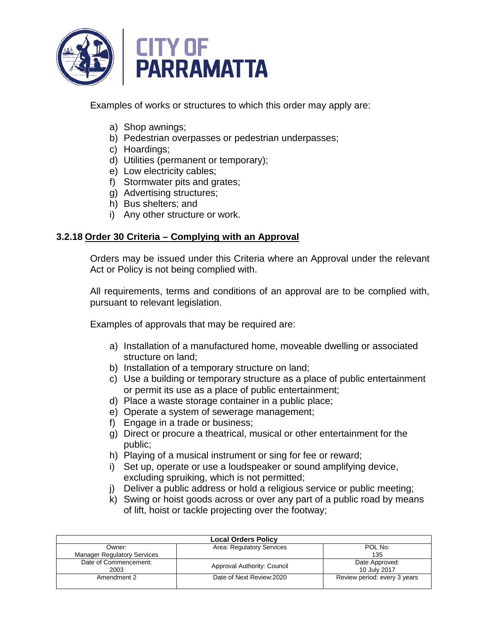

Examples of works or structures to which this order may apply are:

- a) Shop awnings;
- b) Pedestrian overpasses or pedestrian underpasses;
- c) Hoardings;
- d) Utilities (permanent or temporary);
- e) Low electricity cables;
- f) Stormwater pits and grates;
- g) Advertising structures;
- h) Bus shelters; and
- i) Any other structure or work.

## **3.2.18 Order 30 Criteria – Complying with an Approval**

Orders may be issued under this Criteria where an Approval under the relevant Act or Policy is not being complied with.

All requirements, terms and conditions of an approval are to be complied with, pursuant to relevant legislation.

Examples of approvals that may be required are:

- a) Installation of a manufactured home, moveable dwelling or associated structure on land;
- b) Installation of a temporary structure on land;
- c) Use a building or temporary structure as a place of public entertainment or permit its use as a place of public entertainment;
- d) Place a waste storage container in a public place;
- e) Operate a system of sewerage management;
- f) Engage in a trade or business;
- g) Direct or procure a theatrical, musical or other entertainment for the public;
- h) Playing of a musical instrument or sing for fee or reward;
- i) Set up, operate or use a loudspeaker or sound amplifying device, excluding spruiking, which is not permitted;
- j) Deliver a public address or hold a religious service or public meeting;
- k) Swing or hoist goods across or over any part of a public road by means of lift, hoist or tackle projecting over the footway;

| <b>Local Orders Policy</b>         |                             |                              |
|------------------------------------|-----------------------------|------------------------------|
| Owner:                             | Area: Regulatory Services   | POL No:                      |
| <b>Manager Regulatory Services</b> |                             | 135                          |
| Date of Commencement:              | Approval Authority: Council | Date Approved:               |
| 2003                               |                             | 10 July 2017                 |
| Amendment 2                        | Date of Next Review: 2020   | Review period: every 3 years |
|                                    |                             |                              |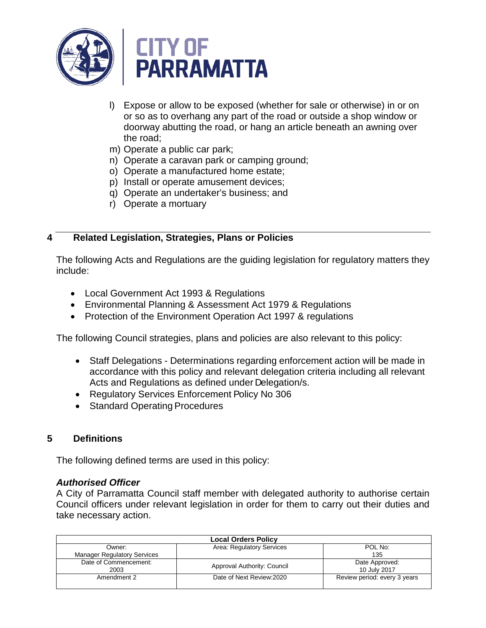

- l) Expose or allow to be exposed (whether for sale or otherwise) in or on or so as to overhang any part of the road or outside a shop window or doorway abutting the road, or hang an article beneath an awning over the road;
- m) Operate a public car park;
- n) Operate a caravan park or camping ground;
- o) Operate a manufactured home estate;
- p) Install or operate amusement devices;
- q) Operate an undertaker's business; and
- r) Operate a mortuary

## **4 Related Legislation, Strategies, Plans or Policies**

The following Acts and Regulations are the guiding legislation for regulatory matters they include:

- Local Government Act 1993 & Regulations
- Environmental Planning & Assessment Act 1979 & Regulations
- Protection of the Environment Operation Act 1997 & regulations

The following Council strategies, plans and policies are also relevant to this policy:

- Staff Delegations Determinations regarding enforcement action will be made in accordance with this policy and relevant delegation criteria including all relevant Acts and Regulations as defined under Delegation/s.
- Regulatory Services Enforcement Policy No 306
- Standard Operating Procedures

## **5 Definitions**

The following defined terms are used in this policy:

#### *Authorised Officer*

A City of Parramatta Council staff member with delegated authority to authorise certain Council officers under relevant legislation in order for them to carry out their duties and take necessary action.

| <b>Local Orders Policy</b>         |                             |                              |
|------------------------------------|-----------------------------|------------------------------|
| Owner:                             | Area: Regulatory Services   | POL No:                      |
| <b>Manager Regulatory Services</b> |                             | 135                          |
| Date of Commencement:              | Approval Authority: Council | Date Approved:               |
| 2003                               |                             | 10 July 2017                 |
| Amendment 2                        | Date of Next Review: 2020   | Review period: every 3 years |
|                                    |                             |                              |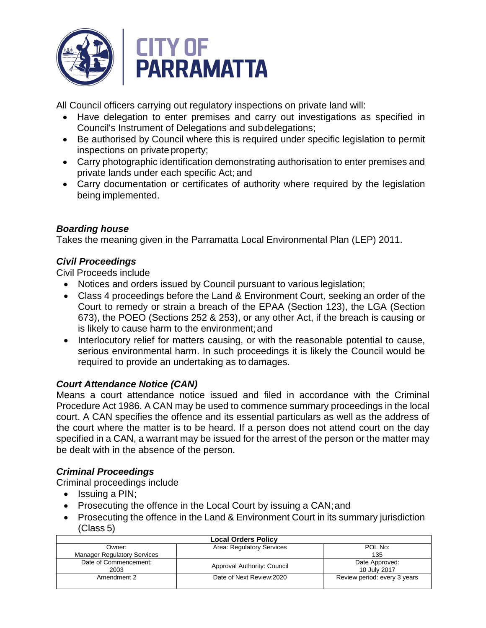

All Council officers carrying out regulatory inspections on private land will:

- Have delegation to enter premises and carry out investigations as specified in Council's Instrument of Delegations and subdelegations;
- Be authorised by Council where this is required under specific legislation to permit inspections on private property;
- Carry photographic identification demonstrating authorisation to enter premises and private lands under each specific Act; and
- Carry documentation or certificates of authority where required by the legislation being implemented.

## *Boarding house*

Takes the meaning given in the Parramatta Local Environmental Plan (LEP) 2011.

## *Civil Proceedings*

Civil Proceeds include

- Notices and orders issued by Council pursuant to various legislation;
- Class 4 proceedings before the Land & Environment Court, seeking an order of the Court to remedy or strain a breach of the EPAA (Section 123), the LGA (Section 673), the POEO (Sections 252 & 253), or any other Act, if the breach is causing or is likely to cause harm to the environment;and
- Interlocutory relief for matters causing, or with the reasonable potential to cause, serious environmental harm. In such proceedings it is likely the Council would be required to provide an undertaking as to damages.

## *Court Attendance Notice (CAN)*

Means a court attendance notice issued and filed in accordance with the Criminal Procedure Act 1986. A CAN may be used to commence summary proceedings in the local court. A CAN specifies the offence and its essential particulars as well as the address of the court where the matter is to be heard. If a person does not attend court on the day specified in a CAN, a warrant may be issued for the arrest of the person or the matter may be dealt with in the absence of the person.

## *Criminal Proceedings*

Criminal proceedings include

- Issuing a PIN;
- Prosecuting the offence in the Local Court by issuing a CAN;and
- Prosecuting the offence in the Land & Environment Court in its summary jurisdiction (Class 5)

| <b>Local Orders Policy</b>         |                             |                              |
|------------------------------------|-----------------------------|------------------------------|
| Owner:                             | Area: Regulatory Services   | POL No:                      |
| <b>Manager Regulatory Services</b> |                             | 135                          |
| Date of Commencement:              | Approval Authority: Council | Date Approved:               |
| 2003                               |                             | 10 July 2017                 |
| Amendment 2                        | Date of Next Review: 2020   | Review period: every 3 years |
|                                    |                             |                              |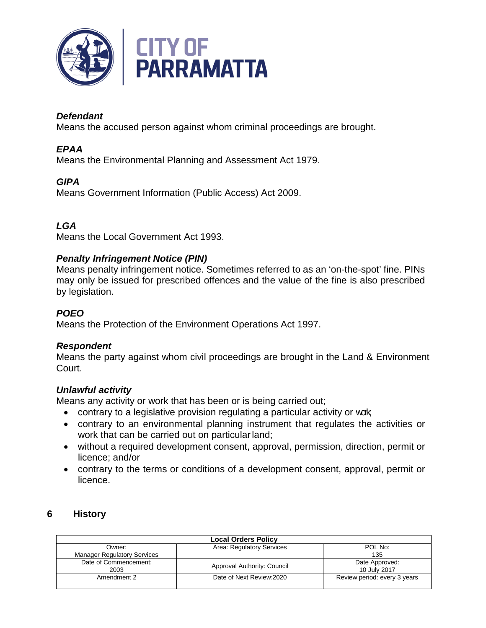

# *Defendant*

Means the accused person against whom criminal proceedings are brought.

# *EPAA*

Means the Environmental Planning and Assessment Act 1979.

# *GIPA*

Means Government Information (Public Access) Act 2009.

# *LGA*

Means the Local Government Act 1993.

## *Penalty Infringement Notice (PIN)*

Means penalty infringement notice. Sometimes referred to as an 'on-the-spot' fine. PINs may only be issued for prescribed offences and the value of the fine is also prescribed by legislation.

## *POEO*

Means the Protection of the Environment Operations Act 1997.

## *Respondent*

Means the party against whom civil proceedings are brought in the Land & Environment Court.

## *Unlawful activity*

Means any activity or work that has been or is being carried out;

- contrary to a legislative provision regulating a particular activity or work
- contrary to an environmental planning instrument that regulates the activities or work that can be carried out on particular land;
- without a required development consent, approval, permission, direction, permit or licence; and/or
- contrary to the terms or conditions of a development consent, approval, permit or licence.

## **6 History**

| <b>Local Orders Policy</b>         |                             |                              |
|------------------------------------|-----------------------------|------------------------------|
| Owner:                             | Area: Regulatory Services   | POL No:                      |
| <b>Manager Regulatory Services</b> |                             | 135                          |
| Date of Commencement:              | Approval Authority: Council | Date Approved:               |
| 2003                               |                             | 10 July 2017                 |
| Amendment 2                        | Date of Next Review: 2020   | Review period: every 3 years |
|                                    |                             |                              |